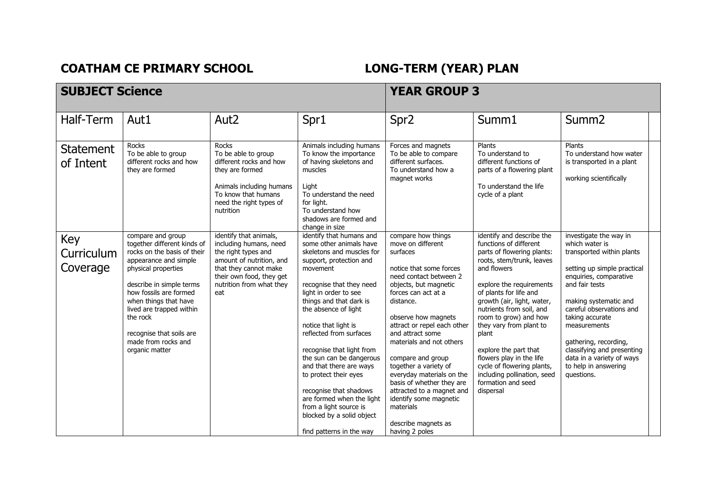## **COATHAM CE PRIMARY SCHOOL LONG-TERM (YEAR) PLAN**

## **SUBJECT Science** *YEAR GROUP* **3** Half-Term | Aut1 | Aut2 | Spr1 | Spr2 | Summ1 | Summ2 **Statement** of Intent Rocks To be able to group different rocks and how they are formed Rocks To be able to group different rocks and how they are formed Animals including humans To know that humans need the right types of nutrition Animals including humans To know the importance of having skeletons and muscles Light To understand the need for light. To understand how shadows are formed and change in size Forces and magnets To be able to compare different surfaces. To understand how a magnet works Plants To understand to different functions of parts of a flowering plant To understand the life cycle of a plant Plants To understand how water is transported in a plant working scientifically Key Curriculum **Coverage** compare and group together different kinds of rocks on the basis of their appearance and simple physical properties describe in simple terms how fossils are formed when things that have lived are trapped within the rock recognise that soils are made from rocks and organic matter identify that animals, including humans, need the right types and amount of nutrition, and that they cannot make their own food, they get nutrition from what they eat identify that humans and some other animals have skeletons and muscles for support, protection and movement recognise that they need light in order to see things and that dark is the absence of light notice that light is reflected from surfaces recognise that light from the sun can be dangerous and that there are ways to protect their eyes recognise that shadows are formed when the light from a light source is blocked by a solid object find patterns in the way compare how things move on different surfaces notice that some forces need contact between 2 objects, but magnetic forces can act at a distance. observe how magnets attract or repel each other and attract some materials and not others compare and group together a variety of everyday materials on the basis of whether they are attracted to a magnet and identify some magnetic materials describe magnets as having 2 poles identify and describe the functions of different parts of flowering plants: roots, stem/trunk, leaves and flowers explore the requirements of plants for life and growth (air, light, water, nutrients from soil, and room to grow) and how they vary from plant to plant explore the part that flowers play in the life cycle of flowering plants, including pollination, seed formation and seed dispersal investigate the way in which water is transported within plants setting up simple practical enquiries, comparative and fair tests making systematic and careful observations and taking accurate measurements gathering, recording, classifying and presenting data in a variety of ways to help in answering questions.